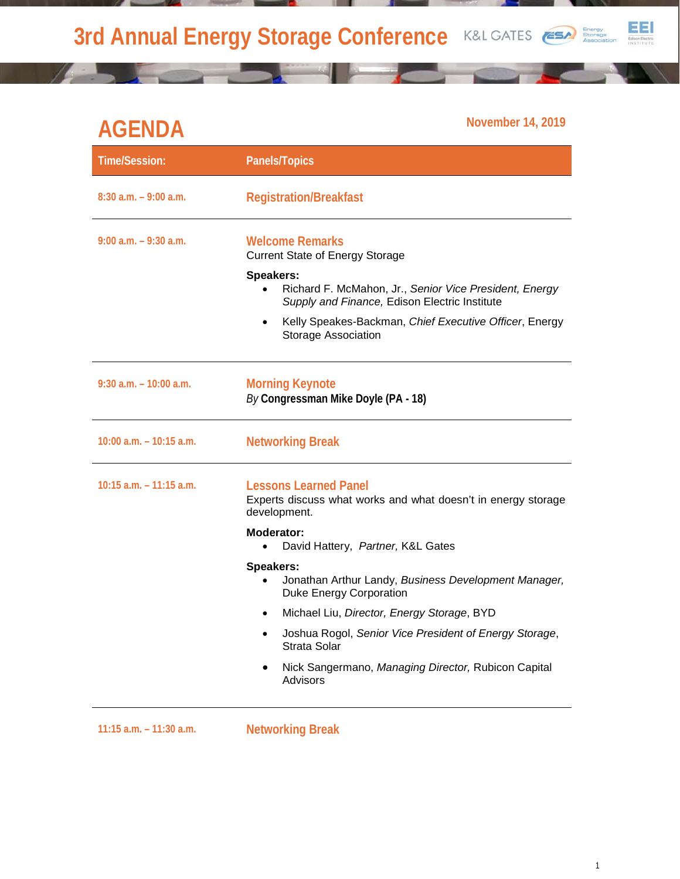**3rd Annual Energy Storage Conference K&L GATES** 



## EEI

## **AGENDA November 14, 2019**

| <b>Time/Session:</b>       | <b>Panels/Topics</b>                                                                                                                                                                     |
|----------------------------|------------------------------------------------------------------------------------------------------------------------------------------------------------------------------------------|
| $8:30$ a.m. $-9:00$ a.m.   | <b>Registration/Breakfast</b>                                                                                                                                                            |
| $9:00$ a.m. $-9:30$ a.m.   | <b>Welcome Remarks</b><br><b>Current State of Energy Storage</b><br>Speakers:<br>Richard F. McMahon, Jr., Senior Vice President, Energy<br>Supply and Finance, Edison Electric Institute |
|                            | Kelly Speakes-Backman, Chief Executive Officer, Energy<br>$\bullet$<br>Storage Association                                                                                               |
| $9:30$ a.m. $-10:00$ a.m.  | <b>Morning Keynote</b><br>By Congressman Mike Doyle (PA - 18)                                                                                                                            |
| $10:00$ a.m. $-10:15$ a.m. | <b>Networking Break</b>                                                                                                                                                                  |
| $10:15$ a.m. $-11:15$ a.m. | <b>Lessons Learned Panel</b><br>Experts discuss what works and what doesn't in energy storage<br>development.                                                                            |
|                            | Moderator:<br>David Hattery, Partner, K&L Gates<br>$\bullet$                                                                                                                             |
|                            | <b>Speakers:</b><br>Jonathan Arthur Landy, Business Development Manager,<br><b>Duke Energy Corporation</b>                                                                               |
|                            | Michael Liu, Director, Energy Storage, BYD<br>$\bullet$                                                                                                                                  |
|                            | Joshua Rogol, Senior Vice President of Energy Storage,<br>٠<br>Strata Solar                                                                                                              |
|                            | Nick Sangermano, Managing Director, Rubicon Capital<br>Advisors                                                                                                                          |
| $11:15$ a.m. $-11:30$ a.m. | <b>Networking Break</b>                                                                                                                                                                  |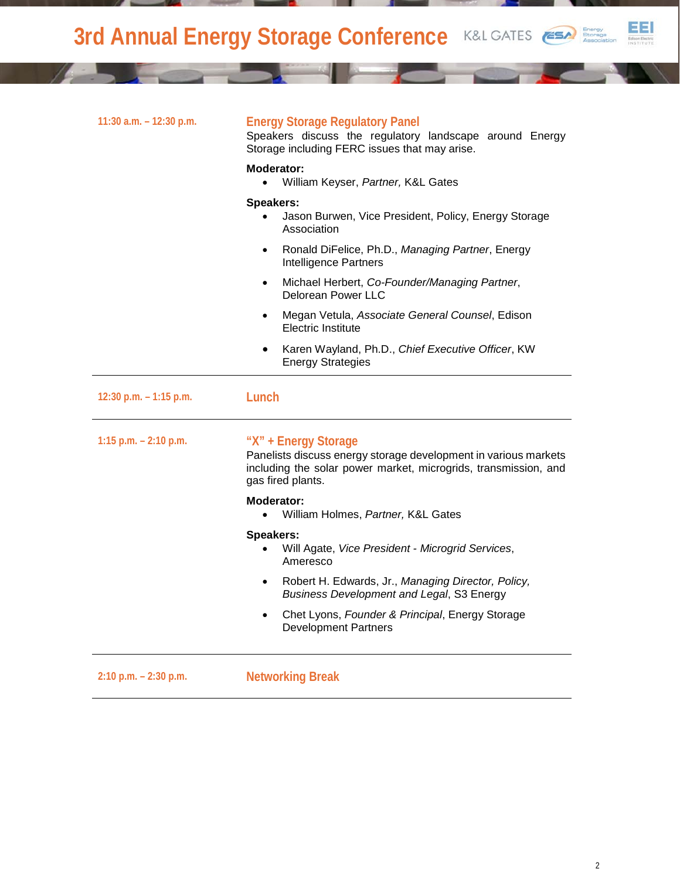**3rd Annual Energy Storage Conference K&L GATES** 



| 11:30 a.m. $-$ 12:30 p.m. | <b>Energy Storage Regulatory Panel</b><br>Speakers discuss the regulatory landscape around Energy<br>Storage including FERC issues that may arise.                              |
|---------------------------|---------------------------------------------------------------------------------------------------------------------------------------------------------------------------------|
|                           | Moderator:<br>William Keyser, Partner, K&L Gates<br>$\bullet$                                                                                                                   |
|                           | <b>Speakers:</b><br>Jason Burwen, Vice President, Policy, Energy Storage<br>Association                                                                                         |
|                           | Ronald DiFelice, Ph.D., Managing Partner, Energy<br>$\bullet$<br>Intelligence Partners                                                                                          |
|                           | Michael Herbert, Co-Founder/Managing Partner,<br>$\bullet$<br>Delorean Power LLC                                                                                                |
|                           | Megan Vetula, Associate General Counsel, Edison<br>$\bullet$<br><b>Electric Institute</b>                                                                                       |
|                           | Karen Wayland, Ph.D., Chief Executive Officer, KW<br><b>Energy Strategies</b>                                                                                                   |
| 12:30 p.m. $-1:15$ p.m.   | Lunch                                                                                                                                                                           |
| 1:15 p.m. $- 2:10$ p.m.   | "X" + Energy Storage<br>Panelists discuss energy storage development in various markets<br>including the solar power market, microgrids, transmission, and<br>gas fired plants. |
|                           | Moderator:<br>William Holmes, Partner, K&L Gates                                                                                                                                |
|                           | <b>Speakers:</b><br>Will Agate, Vice President - Microgrid Services,<br>Ameresco                                                                                                |
|                           | Robert H. Edwards, Jr., Managing Director, Policy,<br>$\bullet$<br><b>Business Development and Legal, S3 Energy</b>                                                             |
|                           | Chet Lyons, Founder & Principal, Energy Storage<br>$\bullet$<br><b>Development Partners</b>                                                                                     |
| $2:10$ p.m. $-2:30$ p.m.  | <b>Networking Break</b>                                                                                                                                                         |